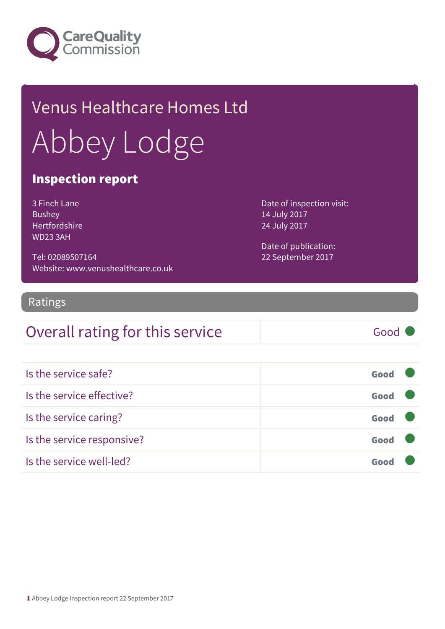

# Venus Healthcare Homes Ltd Abbey Lodge

#### Inspection report

3 Finch Lane Bushey Hertfordshire WD23 3AH

Tel: 02089507164 Website: www.venushealthcare.co.uk Date of inspection visit: 14 July 2017 24 July 2017

Date of publication: 22 September 2017

#### Ratings

#### Overall rating for this service Good

| Is the service safe?       | Good |  |
|----------------------------|------|--|
| Is the service effective?  | Good |  |
| Is the service caring?     | Good |  |
| Is the service responsive? | Good |  |
| Is the service well-led?   |      |  |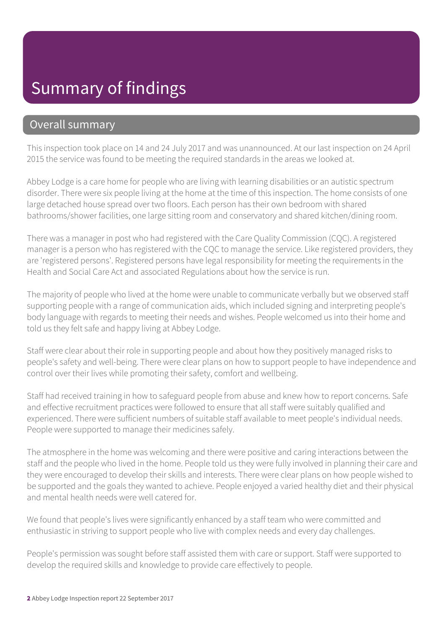#### Summary of findings

#### Overall summary

This inspection took place on 14 and 24 July 2017 and was unannounced. At our last inspection on 24 April 2015 the service was found to be meeting the required standards in the areas we looked at.

Abbey Lodge is a care home for people who are living with learning disabilities or an autistic spectrum disorder. There were six people living at the home at the time of this inspection. The home consists of one large detached house spread over two floors. Each person has their own bedroom with shared bathrooms/shower facilities, one large sitting room and conservatory and shared kitchen/dining room.

There was a manager in post who had registered with the Care Quality Commission (CQC). A registered manager is a person who has registered with the CQC to manage the service. Like registered providers, they are 'registered persons'. Registered persons have legal responsibility for meeting the requirements in the Health and Social Care Act and associated Regulations about how the service is run.

The majority of people who lived at the home were unable to communicate verbally but we observed staff supporting people with a range of communication aids, which included signing and interpreting people's body language with regards to meeting their needs and wishes. People welcomed us into their home and told us they felt safe and happy living at Abbey Lodge.

Staff were clear about their role in supporting people and about how they positively managed risks to people's safety and well-being. There were clear plans on how to support people to have independence and control over their lives while promoting their safety, comfort and wellbeing.

Staff had received training in how to safeguard people from abuse and knew how to report concerns. Safe and effective recruitment practices were followed to ensure that all staff were suitably qualified and experienced. There were sufficient numbers of suitable staff available to meet people's individual needs. People were supported to manage their medicines safely.

The atmosphere in the home was welcoming and there were positive and caring interactions between the staff and the people who lived in the home. People told us they were fully involved in planning their care and they were encouraged to develop their skills and interests. There were clear plans on how people wished to be supported and the goals they wanted to achieve. People enjoyed a varied healthy diet and their physical and mental health needs were well catered for.

We found that people's lives were significantly enhanced by a staff team who were committed and enthusiastic in striving to support people who live with complex needs and every day challenges.

People's permission was sought before staff assisted them with care or support. Staff were supported to develop the required skills and knowledge to provide care effectively to people.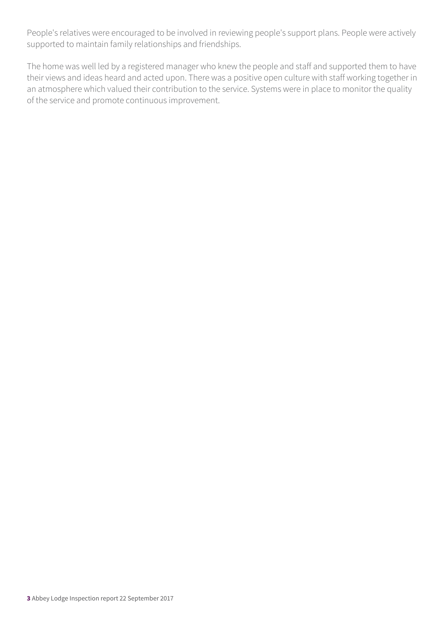People's relatives were encouraged to be involved in reviewing people's support plans. People were actively supported to maintain family relationships and friendships.

The home was well led by a registered manager who knew the people and staff and supported them to have their views and ideas heard and acted upon. There was a positive open culture with staff working together in an atmosphere which valued their contribution to the service. Systems were in place to monitor the quality of the service and promote continuous improvement.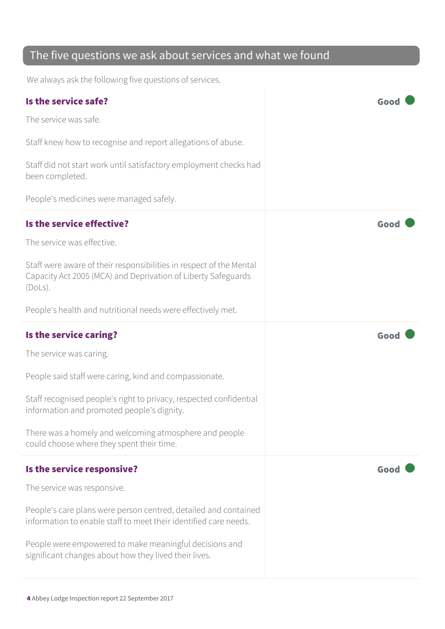#### The five questions we ask about services and what we found

We always ask the following five questions of services.

| Is the service safe?                                                                                                                            |      |
|-------------------------------------------------------------------------------------------------------------------------------------------------|------|
| The service was safe.                                                                                                                           |      |
| Staff knew how to recognise and report allegations of abuse.                                                                                    |      |
| Staff did not start work until satisfactory employment checks had<br>been completed.                                                            |      |
| People's medicines were managed safely.                                                                                                         |      |
| Is the service effective?                                                                                                                       | Good |
| The service was effective.                                                                                                                      |      |
| Staff were aware of their responsibilities in respect of the Mental<br>Capacity Act 2005 (MCA) and Deprivation of Liberty Safeguards<br>(Dols). |      |
| People's health and nutritional needs were effectively met.                                                                                     |      |
| Is the service caring?                                                                                                                          | Good |
| The service was caring.                                                                                                                         |      |
| People said staff were caring, kind and compassionate.                                                                                          |      |
| Staff recognised people's right to privacy, respected confidential<br>information and promoted people's dignity.                                |      |
| There was a homely and welcoming atmosphere and people<br>could choose where they spent their time.                                             |      |
| Is the service responsive?                                                                                                                      | Good |
| The service was responsive.                                                                                                                     |      |
| People's care plans were person centred, detailed and contained<br>information to enable staff to meet their identified care needs.             |      |
| People were empowered to make meaningful decisions and<br>significant changes about how they lived their lives.                                 |      |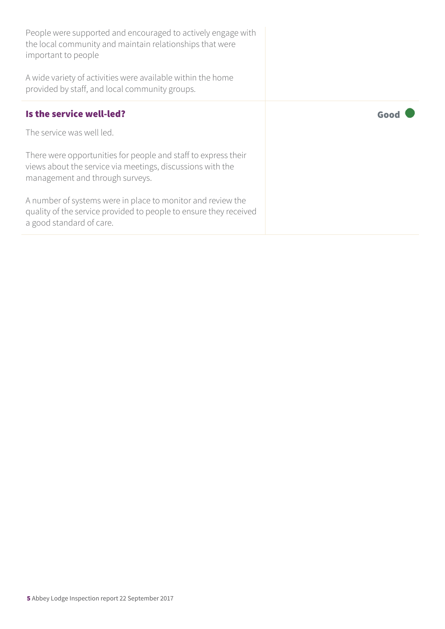| People were supported and encouraged to actively engage with<br>the local community and maintain relationships that were<br>important to people<br>A wide variety of activities were available within the home<br>provided by staff, and local community groups. |      |
|------------------------------------------------------------------------------------------------------------------------------------------------------------------------------------------------------------------------------------------------------------------|------|
| Is the service well-led?                                                                                                                                                                                                                                         | Good |
| The service was well led.                                                                                                                                                                                                                                        |      |
| There were opportunities for people and staff to express their<br>views about the service via meetings, discussions with the<br>management and through surveys.                                                                                                  |      |
| A number of systems were in place to monitor and review the<br>quality of the service provided to people to ensure they received<br>a good standard of care.                                                                                                     |      |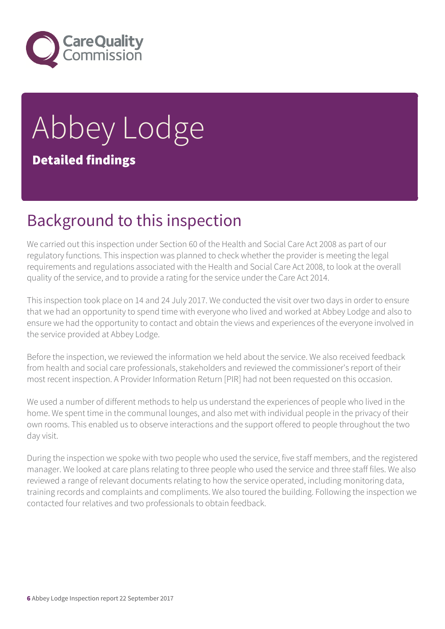

# Abbey Lodge Detailed findings

#### Background to this inspection

We carried out this inspection under Section 60 of the Health and Social Care Act 2008 as part of our regulatory functions. This inspection was planned to check whether the provider is meeting the legal requirements and regulations associated with the Health and Social Care Act 2008, to look at the overall quality of the service, and to provide a rating for the service under the Care Act 2014.

This inspection took place on 14 and 24 July 2017. We conducted the visit over two days in order to ensure that we had an opportunity to spend time with everyone who lived and worked at Abbey Lodge and also to ensure we had the opportunity to contact and obtain the views and experiences of the everyone involved in the service provided at Abbey Lodge.

Before the inspection, we reviewed the information we held about the service. We also received feedback from health and social care professionals, stakeholders and reviewed the commissioner's report of their most recent inspection. A Provider Information Return [PIR] had not been requested on this occasion.

We used a number of different methods to help us understand the experiences of people who lived in the home. We spent time in the communal lounges, and also met with individual people in the privacy of their own rooms. This enabled us to observe interactions and the support offered to people throughout the two day visit.

During the inspection we spoke with two people who used the service, five staff members, and the registered manager. We looked at care plans relating to three people who used the service and three staff files. We also reviewed a range of relevant documents relating to how the service operated, including monitoring data, training records and complaints and compliments. We also toured the building. Following the inspection we contacted four relatives and two professionals to obtain feedback.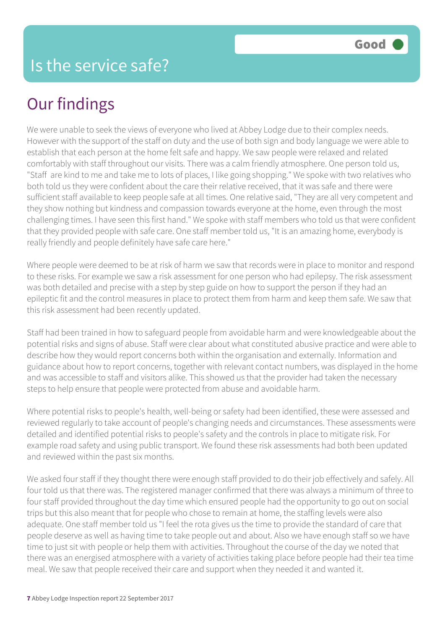## Our findings

We were unable to seek the views of everyone who lived at Abbey Lodge due to their complex needs. However with the support of the staff on duty and the use of both sign and body language we were able to establish that each person at the home felt safe and happy. We saw people were relaxed and related comfortably with staff throughout our visits. There was a calm friendly atmosphere. One person told us, "Staff are kind to me and take me to lots of places, I like going shopping." We spoke with two relatives who both told us they were confident about the care their relative received, that it was safe and there were sufficient staff available to keep people safe at all times. One relative said, "They are all very competent and they show nothing but kindness and compassion towards everyone at the home, even through the most challenging times. I have seen this first hand." We spoke with staff members who told us that were confident that they provided people with safe care. One staff member told us, "It is an amazing home, everybody is really friendly and people definitely have safe care here."

Where people were deemed to be at risk of harm we saw that records were in place to monitor and respond to these risks. For example we saw a risk assessment for one person who had epilepsy. The risk assessment was both detailed and precise with a step by step guide on how to support the person if they had an epileptic fit and the control measures in place to protect them from harm and keep them safe. We saw that this risk assessment had been recently updated.

Staff had been trained in how to safeguard people from avoidable harm and were knowledgeable about the potential risks and signs of abuse. Staff were clear about what constituted abusive practice and were able to describe how they would report concerns both within the organisation and externally. Information and guidance about how to report concerns, together with relevant contact numbers, was displayed in the home and was accessible to staff and visitors alike. This showed us that the provider had taken the necessary steps to help ensure that people were protected from abuse and avoidable harm.

Where potential risks to people's health, well-being or safety had been identified, these were assessed and reviewed regularly to take account of people's changing needs and circumstances. These assessments were detailed and identified potential risks to people's safety and the controls in place to mitigate risk. For example road safety and using public transport. We found these risk assessments had both been updated and reviewed within the past six months.

We asked four staff if they thought there were enough staff provided to do their job effectively and safely. All four told us that there was. The registered manager confirmed that there was always a minimum of three to four staff provided throughout the day time which ensured people had the opportunity to go out on social trips but this also meant that for people who chose to remain at home, the staffing levels were also adequate. One staff member told us "I feel the rota gives us the time to provide the standard of care that people deserve as well as having time to take people out and about. Also we have enough staff so we have time to just sit with people or help them with activities. Throughout the course of the day we noted that there was an energised atmosphere with a variety of activities taking place before people had their tea time meal. We saw that people received their care and support when they needed it and wanted it.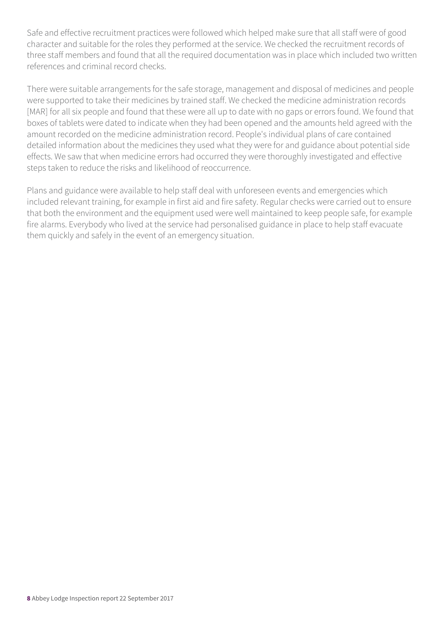Safe and effective recruitment practices were followed which helped make sure that all staff were of good character and suitable for the roles they performed at the service. We checked the recruitment records of three staff members and found that all the required documentation was in place which included two written references and criminal record checks.

There were suitable arrangements for the safe storage, management and disposal of medicines and people were supported to take their medicines by trained staff. We checked the medicine administration records [MAR] for all six people and found that these were all up to date with no gaps or errors found. We found that boxes of tablets were dated to indicate when they had been opened and the amounts held agreed with the amount recorded on the medicine administration record. People's individual plans of care contained detailed information about the medicines they used what they were for and guidance about potential side effects. We saw that when medicine errors had occurred they were thoroughly investigated and effective steps taken to reduce the risks and likelihood of reoccurrence.

Plans and guidance were available to help staff deal with unforeseen events and emergencies which included relevant training, for example in first aid and fire safety. Regular checks were carried out to ensure that both the environment and the equipment used were well maintained to keep people safe, for example fire alarms. Everybody who lived at the service had personalised guidance in place to help staff evacuate them quickly and safely in the event of an emergency situation.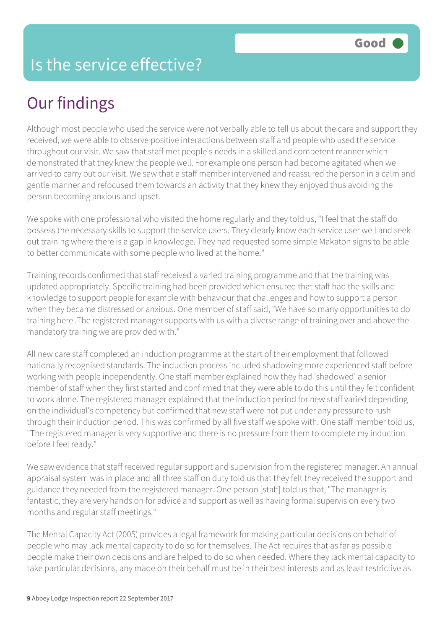#### Is the service effective?

## Our findings

Although most people who used the service were not verbally able to tell us about the care and support they received, we were able to observe positive interactions between staff and people who used the service throughout our visit. We saw that staff met people's needs in a skilled and competent manner which demonstrated that they knew the people well. For example one person had become agitated when we arrived to carry out our visit. We saw that a staff member intervened and reassured the person in a calm and gentle manner and refocused them towards an activity that they knew they enjoyed thus avoiding the person becoming anxious and upset.

We spoke with one professional who visited the home regularly and they told us, "I feel that the staff do possess the necessary skills to support the service users. They clearly know each service user well and seek out training where there is a gap in knowledge. They had requested some simple Makaton signs to be able to better communicate with some people who lived at the home."

Training records confirmed that staff received a varied training programme and that the training was updated appropriately. Specific training had been provided which ensured that staff had the skills and knowledge to support people for example with behaviour that challenges and how to support a person when they became distressed or anxious. One member of staff said, "We have so many opportunities to do training here .The registered manager supports with us with a diverse range of training over and above the mandatory training we are provided with."

All new care staff completed an induction programme at the start of their employment that followed nationally recognised standards. The induction process included shadowing more experienced staff before working with people independently. One staff member explained how they had 'shadowed' a senior member of staff when they first started and confirmed that they were able to do this until they felt confident to work alone. The registered manager explained that the induction period for new staff varied depending on the individual's competency but confirmed that new staff were not put under any pressure to rush through their induction period. This was confirmed by all five staff we spoke with. One staff member told us, "The registered manager is very supportive and there is no pressure from them to complete my induction before I feel ready."

We saw evidence that staff received regular support and supervision from the registered manager. An annual appraisal system was in place and all three staff on duty told us that they felt they received the support and guidance they needed from the registered manager. One person [staff] told us that, "The manager is fantastic, they are very hands on for advice and support as well as having formal supervision every two months and regular staff meetings."

The Mental Capacity Act (2005) provides a legal framework for making particular decisions on behalf of people who may lack mental capacity to do so for themselves. The Act requires that as far as possible people make their own decisions and are helped to do so when needed. Where they lack mental capacity to take particular decisions, any made on their behalf must be in their best interests and as least restrictive as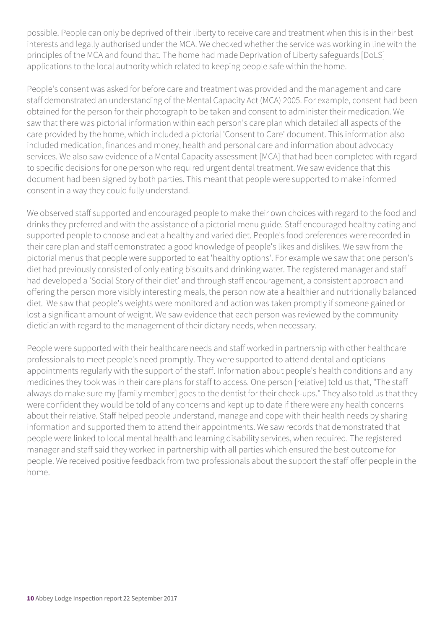possible. People can only be deprived of their liberty to receive care and treatment when this is in their best interests and legally authorised under the MCA. We checked whether the service was working in line with the principles of the MCA and found that. The home had made Deprivation of Liberty safeguards [DoLS] applications to the local authority which related to keeping people safe within the home.

People's consent was asked for before care and treatment was provided and the management and care staff demonstrated an understanding of the Mental Capacity Act (MCA) 2005. For example, consent had been obtained for the person for their photograph to be taken and consent to administer their medication. We saw that there was pictorial information within each person's care plan which detailed all aspects of the care provided by the home, which included a pictorial 'Consent to Care' document. This information also included medication, finances and money, health and personal care and information about advocacy services. We also saw evidence of a Mental Capacity assessment [MCA] that had been completed with regard to specific decisions for one person who required urgent dental treatment. We saw evidence that this document had been signed by both parties. This meant that people were supported to make informed consent in a way they could fully understand.

We observed staff supported and encouraged people to make their own choices with regard to the food and drinks they preferred and with the assistance of a pictorial menu guide. Staff encouraged healthy eating and supported people to choose and eat a healthy and varied diet. People's food preferences were recorded in their care plan and staff demonstrated a good knowledge of people's likes and dislikes. We saw from the pictorial menus that people were supported to eat 'healthy options'. For example we saw that one person's diet had previously consisted of only eating biscuits and drinking water. The registered manager and staff had developed a 'Social Story of their diet' and through staff encouragement, a consistent approach and offering the person more visibly interesting meals, the person now ate a healthier and nutritionally balanced diet. We saw that people's weights were monitored and action was taken promptly if someone gained or lost a significant amount of weight. We saw evidence that each person was reviewed by the community dietician with regard to the management of their dietary needs, when necessary.

People were supported with their healthcare needs and staff worked in partnership with other healthcare professionals to meet people's need promptly. They were supported to attend dental and opticians appointments regularly with the support of the staff. Information about people's health conditions and any medicines they took was in their care plans for staff to access. One person [relative] told us that, "The staff always do make sure my [family member] goes to the dentist for their check-ups." They also told us that they were confident they would be told of any concerns and kept up to date if there were any health concerns about their relative. Staff helped people understand, manage and cope with their health needs by sharing information and supported them to attend their appointments. We saw records that demonstrated that people were linked to local mental health and learning disability services, when required. The registered manager and staff said they worked in partnership with all parties which ensured the best outcome for people. We received positive feedback from two professionals about the support the staff offer people in the home.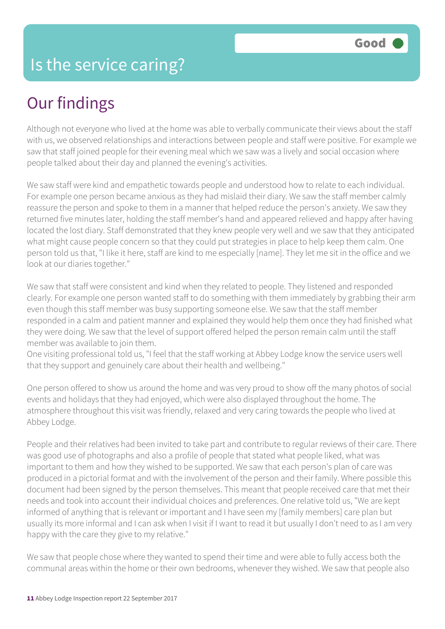## Our findings

Although not everyone who lived at the home was able to verbally communicate their views about the staff with us, we observed relationships and interactions between people and staff were positive. For example we saw that staff joined people for their evening meal which we saw was a lively and social occasion where people talked about their day and planned the evening's activities.

We saw staff were kind and empathetic towards people and understood how to relate to each individual. For example one person became anxious as they had mislaid their diary. We saw the staff member calmly reassure the person and spoke to them in a manner that helped reduce the person's anxiety. We saw they returned five minutes later, holding the staff member's hand and appeared relieved and happy after having located the lost diary. Staff demonstrated that they knew people very well and we saw that they anticipated what might cause people concern so that they could put strategies in place to help keep them calm. One person told us that, "I like it here, staff are kind to me especially [name]. They let me sit in the office and we look at our diaries together."

We saw that staff were consistent and kind when they related to people. They listened and responded clearly. For example one person wanted staff to do something with them immediately by grabbing their arm even though this staff member was busy supporting someone else. We saw that the staff member responded in a calm and patient manner and explained they would help them once they had finished what they were doing. We saw that the level of support offered helped the person remain calm until the staff member was available to join them.

One visiting professional told us, "I feel that the staff working at Abbey Lodge know the service users well that they support and genuinely care about their health and wellbeing."

One person offered to show us around the home and was very proud to show off the many photos of social events and holidays that they had enjoyed, which were also displayed throughout the home. The atmosphere throughout this visit was friendly, relaxed and very caring towards the people who lived at Abbey Lodge.

People and their relatives had been invited to take part and contribute to regular reviews of their care. There was good use of photographs and also a profile of people that stated what people liked, what was important to them and how they wished to be supported. We saw that each person's plan of care was produced in a pictorial format and with the involvement of the person and their family. Where possible this document had been signed by the person themselves. This meant that people received care that met their needs and took into account their individual choices and preferences. One relative told us, "We are kept informed of anything that is relevant or important and I have seen my [family members] care plan but usually its more informal and I can ask when I visit if I want to read it but usually I don't need to as I am very happy with the care they give to my relative."

We saw that people chose where they wanted to spend their time and were able to fully access both the communal areas within the home or their own bedrooms, whenever they wished. We saw that people also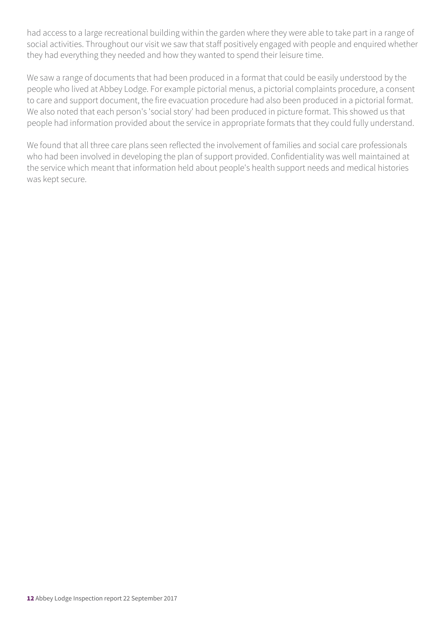had access to a large recreational building within the garden where they were able to take part in a range of social activities. Throughout our visit we saw that staff positively engaged with people and enquired whether they had everything they needed and how they wanted to spend their leisure time.

We saw a range of documents that had been produced in a format that could be easily understood by the people who lived at Abbey Lodge. For example pictorial menus, a pictorial complaints procedure, a consent to care and support document, the fire evacuation procedure had also been produced in a pictorial format. We also noted that each person's 'social story' had been produced in picture format. This showed us that people had information provided about the service in appropriate formats that they could fully understand.

We found that all three care plans seen reflected the involvement of families and social care professionals who had been involved in developing the plan of support provided. Confidentiality was well maintained at the service which meant that information held about people's health support needs and medical histories was kept secure.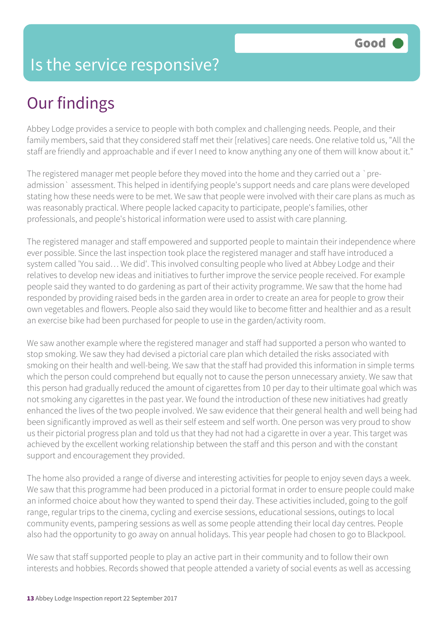#### Is the service responsive?

## Our findings

Abbey Lodge provides a service to people with both complex and challenging needs. People, and their family members, said that they considered staff met their [relatives] care needs. One relative told us, "All the staff are friendly and approachable and if ever I need to know anything any one of them will know about it."

The registered manager met people before they moved into the home and they carried out a `preadmission` assessment. This helped in identifying people's support needs and care plans were developed stating how these needs were to be met. We saw that people were involved with their care plans as much as was reasonably practical. Where people lacked capacity to participate, people's families, other professionals, and people's historical information were used to assist with care planning.

The registered manager and staff empowered and supported people to maintain their independence where ever possible. Since the last inspection took place the registered manager and staff have introduced a system called 'You said… We did'. This involved consulting people who lived at Abbey Lodge and their relatives to develop new ideas and initiatives to further improve the service people received. For example people said they wanted to do gardening as part of their activity programme. We saw that the home had responded by providing raised beds in the garden area in order to create an area for people to grow their own vegetables and flowers. People also said they would like to become fitter and healthier and as a result an exercise bike had been purchased for people to use in the garden/activity room.

We saw another example where the registered manager and staff had supported a person who wanted to stop smoking. We saw they had devised a pictorial care plan which detailed the risks associated with smoking on their health and well-being. We saw that the staff had provided this information in simple terms which the person could comprehend but equally not to cause the person unnecessary anxiety. We saw that this person had gradually reduced the amount of cigarettes from 10 per day to their ultimate goal which was not smoking any cigarettes in the past year. We found the introduction of these new initiatives had greatly enhanced the lives of the two people involved. We saw evidence that their general health and well being had been significantly improved as well as their self esteem and self worth. One person was very proud to show us their pictorial progress plan and told us that they had not had a cigarette in over a year. This target was achieved by the excellent working relationship between the staff and this person and with the constant support and encouragement they provided.

The home also provided a range of diverse and interesting activities for people to enjoy seven days a week. We saw that this programme had been produced in a pictorial format in order to ensure people could make an informed choice about how they wanted to spend their day. These activities included, going to the golf range, regular trips to the cinema, cycling and exercise sessions, educational sessions, outings to local community events, pampering sessions as well as some people attending their local day centres. People also had the opportunity to go away on annual holidays. This year people had chosen to go to Blackpool.

We saw that staff supported people to play an active part in their community and to follow their own interests and hobbies. Records showed that people attended a variety of social events as well as accessing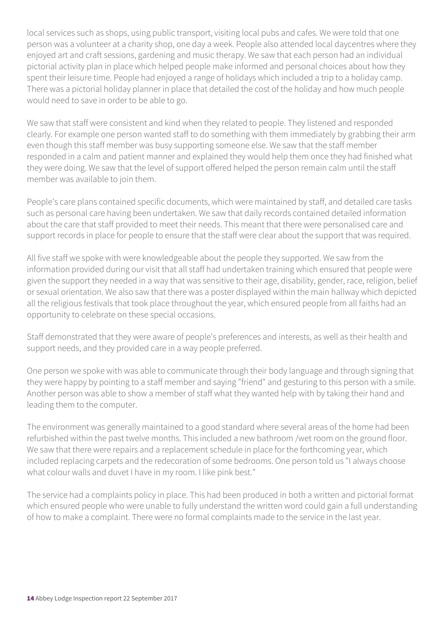local services such as shops, using public transport, visiting local pubs and cafes. We were told that one person was a volunteer at a charity shop, one day a week. People also attended local daycentres where they enjoyed art and craft sessions, gardening and music therapy. We saw that each person had an individual pictorial activity plan in place which helped people make informed and personal choices about how they spent their leisure time. People had enjoyed a range of holidays which included a trip to a holiday camp. There was a pictorial holiday planner in place that detailed the cost of the holiday and how much people would need to save in order to be able to go.

We saw that staff were consistent and kind when they related to people. They listened and responded clearly. For example one person wanted staff to do something with them immediately by grabbing their arm even though this staff member was busy supporting someone else. We saw that the staff member responded in a calm and patient manner and explained they would help them once they had finished what they were doing. We saw that the level of support offered helped the person remain calm until the staff member was available to join them.

People's care plans contained specific documents, which were maintained by staff, and detailed care tasks such as personal care having been undertaken. We saw that daily records contained detailed information about the care that staff provided to meet their needs. This meant that there were personalised care and support records in place for people to ensure that the staff were clear about the support that was required.

All five staff we spoke with were knowledgeable about the people they supported. We saw from the information provided during our visit that all staff had undertaken training which ensured that people were given the support they needed in a way that was sensitive to their age, disability, gender, race, religion, belief or sexual orientation. We also saw that there was a poster displayed within the main hallway which depicted all the religious festivals that took place throughout the year, which ensured people from all faiths had an opportunity to celebrate on these special occasions.

Staff demonstrated that they were aware of people's preferences and interests, as well as their health and support needs, and they provided care in a way people preferred.

One person we spoke with was able to communicate through their body language and through signing that they were happy by pointing to a staff member and saying "friend" and gesturing to this person with a smile. Another person was able to show a member of staff what they wanted help with by taking their hand and leading them to the computer.

The environment was generally maintained to a good standard where several areas of the home had been refurbished within the past twelve months. This included a new bathroom /wet room on the ground floor. We saw that there were repairs and a replacement schedule in place for the forthcoming year, which included replacing carpets and the redecoration of some bedrooms. One person told us "I always choose what colour walls and duvet I have in my room. I like pink best."

The service had a complaints policy in place. This had been produced in both a written and pictorial format which ensured people who were unable to fully understand the written word could gain a full understanding of how to make a complaint. There were no formal complaints made to the service in the last year.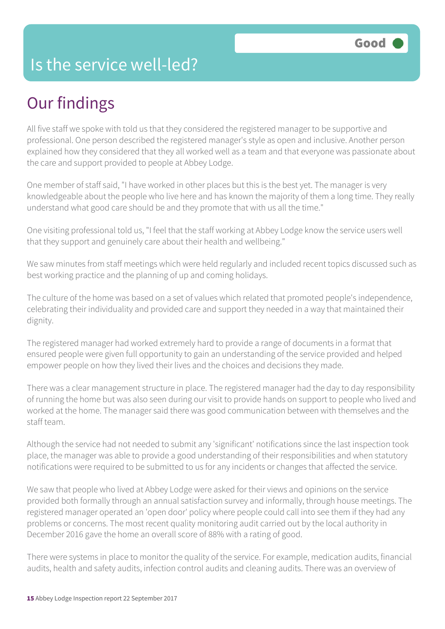#### Is the service well-led?

### Our findings

All five staff we spoke with told us that they considered the registered manager to be supportive and professional. One person described the registered manager's style as open and inclusive. Another person explained how they considered that they all worked well as a team and that everyone was passionate about the care and support provided to people at Abbey Lodge.

One member of staff said, "I have worked in other places but this is the best yet. The manager is very knowledgeable about the people who live here and has known the majority of them a long time. They really understand what good care should be and they promote that with us all the time."

One visiting professional told us, "I feel that the staff working at Abbey Lodge know the service users well that they support and genuinely care about their health and wellbeing."

We saw minutes from staff meetings which were held regularly and included recent topics discussed such as best working practice and the planning of up and coming holidays.

The culture of the home was based on a set of values which related that promoted people's independence, celebrating their individuality and provided care and support they needed in a way that maintained their dignity.

The registered manager had worked extremely hard to provide a range of documents in a format that ensured people were given full opportunity to gain an understanding of the service provided and helped empower people on how they lived their lives and the choices and decisions they made.

There was a clear management structure in place. The registered manager had the day to day responsibility of running the home but was also seen during our visit to provide hands on support to people who lived and worked at the home. The manager said there was good communication between with themselves and the staff team.

Although the service had not needed to submit any 'significant' notifications since the last inspection took place, the manager was able to provide a good understanding of their responsibilities and when statutory notifications were required to be submitted to us for any incidents or changes that affected the service.

We saw that people who lived at Abbey Lodge were asked for their views and opinions on the service provided both formally through an annual satisfaction survey and informally, through house meetings. The registered manager operated an 'open door' policy where people could call into see them if they had any problems or concerns. The most recent quality monitoring audit carried out by the local authority in December 2016 gave the home an overall score of 88% with a rating of good.

There were systems in place to monitor the quality of the service. For example, medication audits, financial audits, health and safety audits, infection control audits and cleaning audits. There was an overview of